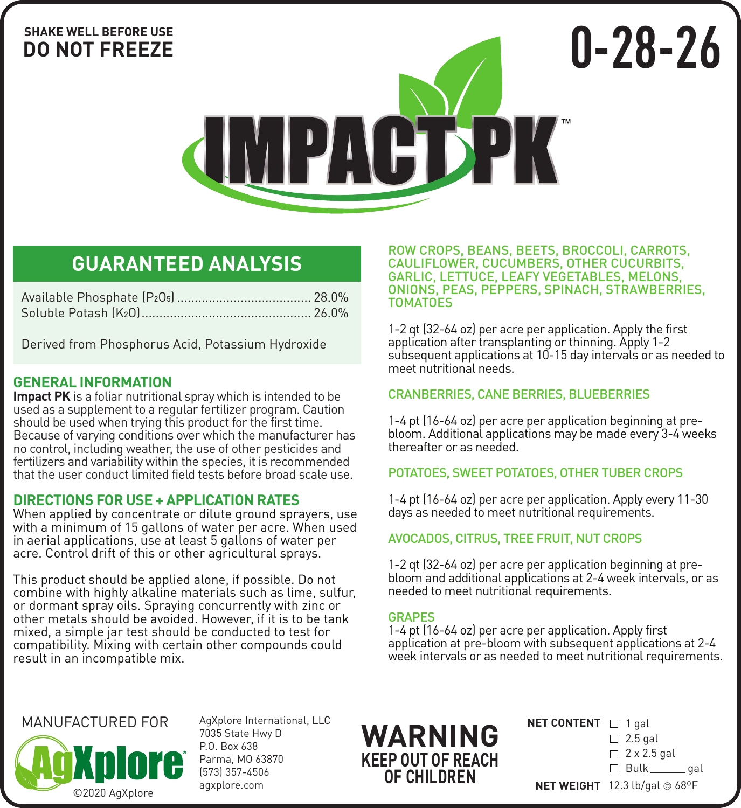## **SHAKE WELL BEFORE USE DO NOT FREEZE**

**IMPACTPK** 

# **GUARANTEED ANALYSIS**

Derived from Phosphorus Acid, Potassium Hydroxide

## **GENERAL INFORMATION**

**Impact PK** is a foliar nutritional spray which is intended to be used as a supplement to a regular fertilizer program. Caution should be used when trying this product for the first time. Because of varying conditions over which the manufacturer has no control, including weather, the use of other pesticides and fertilizers and variability within the species, it is recommended that the user conduct limited field tests before broad scale use.

## **DIRECTIONS FOR USE + APPLICATION RATES**

When applied by concentrate or dilute ground sprayers, use with a minimum of 15 gallons of water per acre. When used in aerial applications, use at least 5 gallons of water per acre. Control drift of this or other agricultural sprays.

This product should be applied alone, if possible. Do not combine with highly alkaline materials such as lime, sulfur, or dormant spray oils. Spraying concurrently with zinc or other metals should be avoided. However, if it is to be tank mixed, a simple jar test should be conducted to test for compatibility. Mixing with certain other compounds could result in an incompatible mix.

ROW CROPS, BEANS, BEETS, BROCCOLI, CARROTS, CAULIFLOWER, CUCUMBERS, OTHER CUCURBITS, GARLIC, LETTUCE, LEAFY VEGETABLES, MELONS, ONIONS, PEAS, PEPPERS, SPINACH, STRAWBERRIES, TOMATOES

**0-28-26**

1-2 qt (32-64 oz) per acre per application. Apply the first application after transplanting or thinning. Apply 1-2 subsequent applications at 10-15 day intervals or as needed to meet nutritional needs.

## CRANBERRIES, CANE BERRIES, BLUEBERRIES

1-4 pt (16-64 oz) per acre per application beginning at prebloom. Additional applications may be made every 3-4 weeks thereafter or as needed.

## POTATOES, SWEET POTATOES, OTHER TUBER CROPS

1-4 pt (16-64 oz) per acre per application. Apply every 11-30 days as needed to meet nutritional requirements.

## AVOCADOS, CITRUS, TREE FRUIT, NUT CROPS

1-2 qt (32-64 oz) per acre per application beginning at prebloom and additional applications at 2-4 week intervals, or as needed to meet nutritional requirements.

### **GRAPES**

1-4 pt (16-64 oz) per acre per application. Apply first application at pre-bloom with subsequent applications at 2-4 week intervals or as needed to meet nutritional requirements.

## MANUFACTURED FOR



AgXplore International, LLC 7035 State Hwy D P.O. Box 638 Parma, MO 63870 (573) 357-4506 agxplore.com

**WARNING KEEP OUT OF REACH OF CHILDREN**

| <b>NET CONTENT</b> $\Box$ 1 gal |  |  |
|---------------------------------|--|--|
|                                 |  |  |

 $\Box$  2.5 gal

 $\Box$  2 x 2.5 gal

□ Bulk \_\_\_\_\_\_ gal

**NET WEIGHT** 12.3 lb/gal @ 68ºF